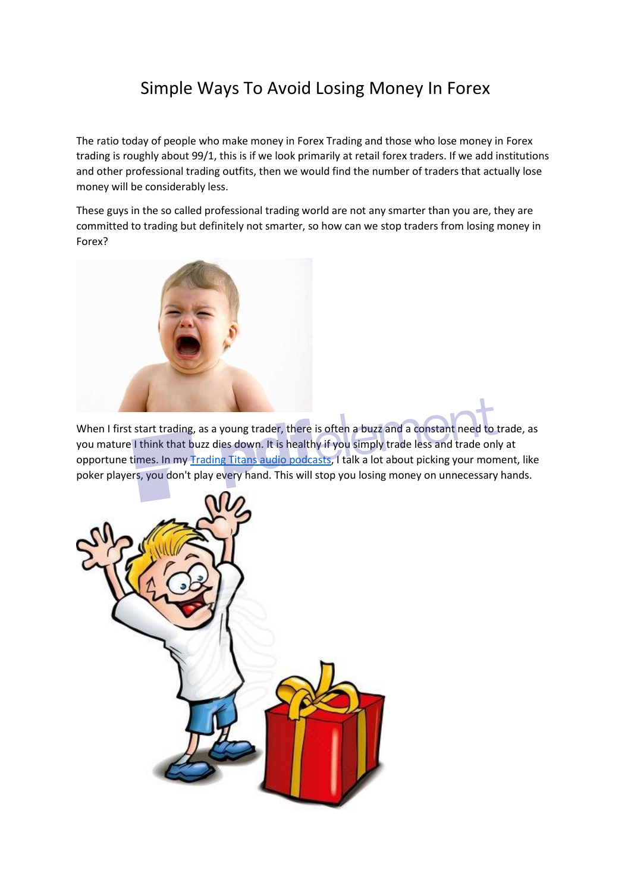## Simple Ways To Avoid Losing Money In Forex

The ratio today of people who make money in Forex Trading and those who lose money in Forex trading is roughly about 99/1, this is if we look primarily at retail forex traders. If we add institutions and other professional trading outfits, then we would find the number of traders that actually lose money will be considerably less.

These guys in the so called professional trading world are not any smarter than you are, they are committed to trading but definitely not smarter, so how can we stop traders from losing money in Forex?



When I first start trading, as a young trader, there is often a buzz and a constant need to trade, as you mature I think that buzz dies down. It is healthy if you simply trade less and trade only at opportune times. In m[y Trading Titans audio podcasts,](http://tradersclub.libsyn.com/?source=art) I talk a lot about picking your moment, like poker players, you don't play every hand. This will stop you losing money on unnecessary hands.

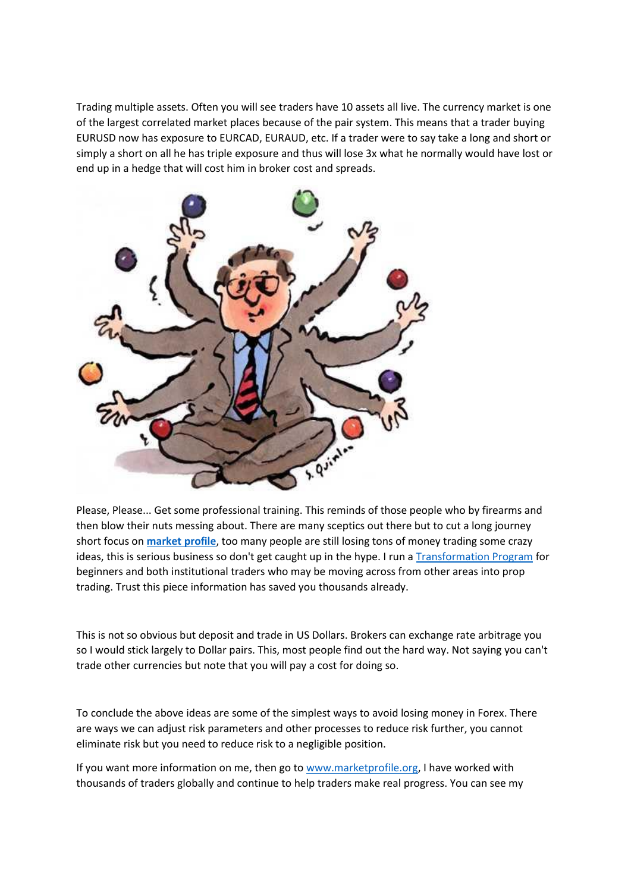Trading multiple assets. Often you will see traders have 10 assets all live. The currency market is one of the largest correlated market places because of the pair system. This means that a trader buying EURUSD now has exposure to EURCAD, EURAUD, etc. If a trader were to say take a long and short or simply a short on all he has triple exposure and thus will lose 3x what he normally would have lost or end up in a hedge that will cost him in broker cost and spreads.



Please, Please... Get some professional training. This reminds of those people who by firearms and then blow their nuts messing about. There are many sceptics out there but to cut a long journey short focus on **[market profile](https://docs.wixstatic.com/ugd/bfedf4_560fbb700a244af6a2d5ff12f7e3be31.pdf)**, too many people are still losing tons of money trading some crazy ideas, this is serious business so don't get caught up in the hype. I run a **Transformation Program** for beginners and both institutional traders who may be moving across from other areas into prop trading. Trust this piece information has saved you thousands already.

This is not so obvious but deposit and trade in US Dollars. Brokers can exchange rate arbitrage you so I would stick largely to Dollar pairs. This, most people find out the hard way. Not saying you can't trade other currencies but note that you will pay a cost for doing so.

To conclude the above ideas are some of the simplest ways to avoid losing money in Forex. There are ways we can adjust risk parameters and other processes to reduce risk further, you cannot eliminate risk but you need to reduce risk to a negligible position.

If you want more information on me, then go to [www.marketprofile.org,](http://www.marketprofile.org/?source=art) I have worked with thousands of traders globally and continue to help traders make real progress. You can see my